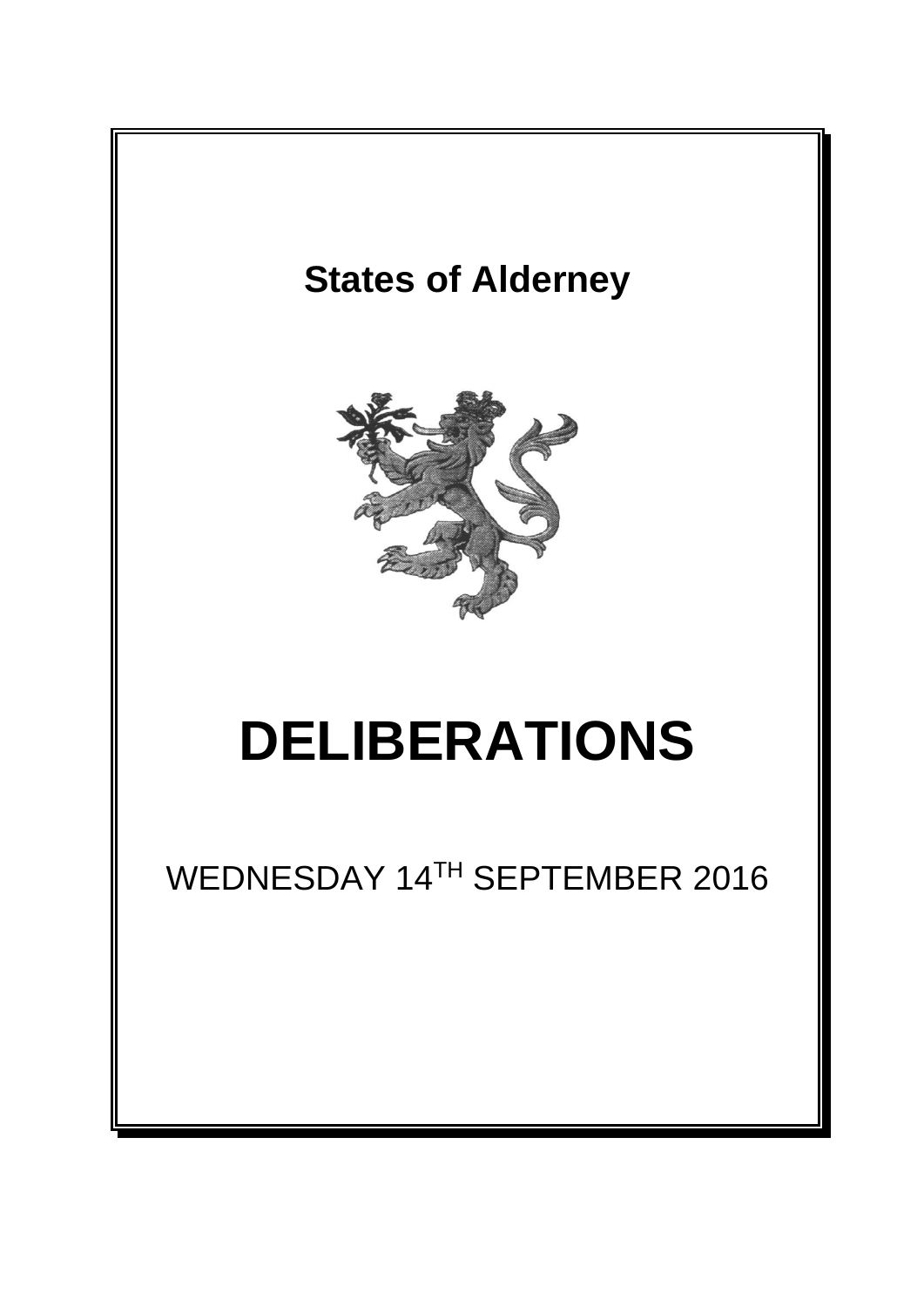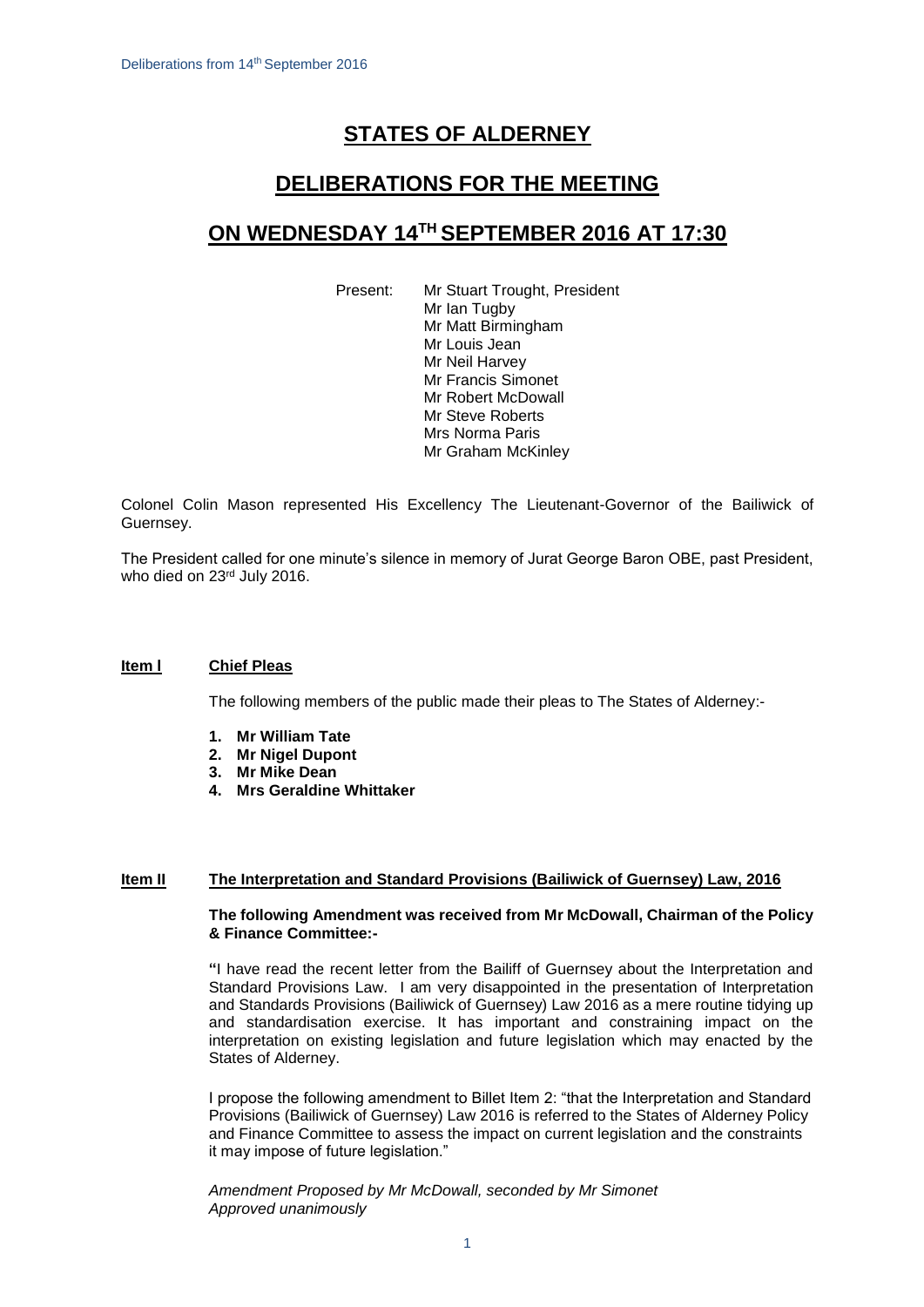# **STATES OF ALDERNEY**

# **DELIBERATIONS FOR THE MEETING**

# **ON WEDNESDAY 14TH SEPTEMBER 2016 AT 17:30**

Present: Mr Stuart Trought, President Mr Ian Tugby Mr Matt Birmingham Mr Louis Jean Mr Neil Harvey Mr Francis Simonet Mr Robert McDowall Mr Steve Roberts Mrs Norma Paris Mr Graham McKinley

Colonel Colin Mason represented His Excellency The Lieutenant-Governor of the Bailiwick of Guernsey.

The President called for one minute's silence in memory of Jurat George Baron OBE, past President, who died on 23rd July 2016.

# **Item l Chief Pleas**

The following members of the public made their pleas to The States of Alderney:-

- **1. Mr William Tate**
- **2. Mr Nigel Dupont**
- **3. Mr Mike Dean**
- **4. Mrs Geraldine Whittaker**

#### **Item II The Interpretation and Standard Provisions (Bailiwick of Guernsey) Law, 2016**

#### **The following Amendment was received from Mr McDowall, Chairman of the Policy & Finance Committee:-**

**"**I have read the recent letter from the Bailiff of Guernsey about the Interpretation and Standard Provisions Law. I am very disappointed in the presentation of Interpretation and Standards Provisions (Bailiwick of Guernsey) Law 2016 as a mere routine tidying up and standardisation exercise. It has important and constraining impact on the interpretation on existing legislation and future legislation which may enacted by the States of Alderney.

I propose the following amendment to Billet Item 2: "that the Interpretation and Standard Provisions (Bailiwick of Guernsey) Law 2016 is referred to the States of Alderney Policy and Finance Committee to assess the impact on current legislation and the constraints it may impose of future legislation."

*Amendment Proposed by Mr McDowall, seconded by Mr Simonet Approved unanimously*